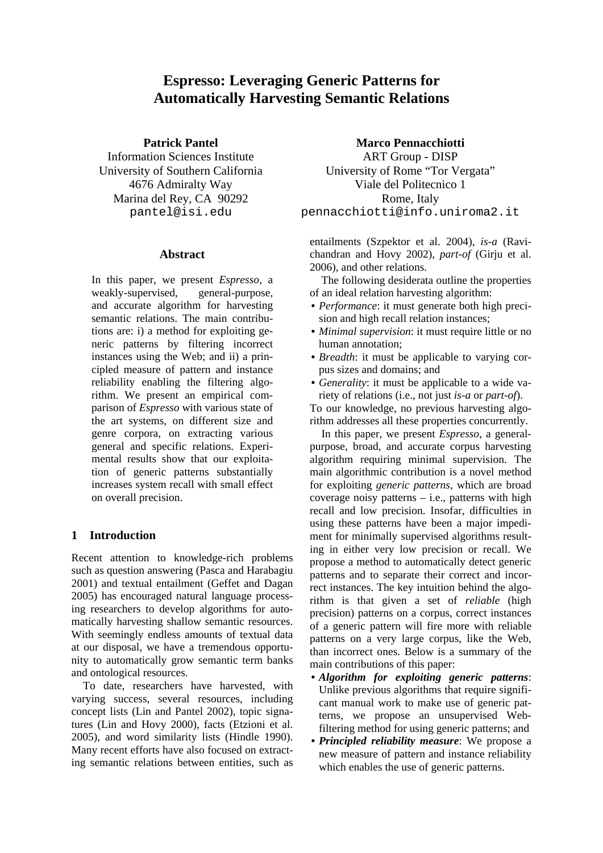# **Espresso: Leveraging Generic Patterns for Automatically Harvesting Semantic Relations**

### **Patrick Pantel**

Information Sciences Institute University of Southern California 4676 Admiralty Way Marina del Rey, CA 90292 pantel@isi.edu

### **Abstract**

In this paper, we present *Espresso*, a weakly-supervised, general-purpose, and accurate algorithm for harvesting semantic relations. The main contributions are: i) a method for exploiting generic patterns by filtering incorrect instances using the Web; and ii) a principled measure of pattern and instance reliability enabling the filtering algorithm. We present an empirical comparison of *Espresso* with various state of the art systems, on different size and genre corpora, on extracting various general and specific relations. Experimental results show that our exploitation of generic patterns substantially increases system recall with small effect on overall precision.

## **1 Introduction**

Recent attention to knowledge-rich problems such as question answering (Pasca and Harabagiu 2001) and textual entailment (Geffet and Dagan 2005) has encouraged natural language processing researchers to develop algorithms for automatically harvesting shallow semantic resources. With seemingly endless amounts of textual data at our disposal, we have a tremendous opportunity to automatically grow semantic term banks and ontological resources.

To date, researchers have harvested, with varying success, several resources, including concept lists (Lin and Pantel 2002), topic signatures (Lin and Hovy 2000), facts (Etzioni et al. 2005), and word similarity lists (Hindle 1990). Many recent efforts have also focused on extracting semantic relations between entities, such as

**Marco Pennacchiotti**  ART Group - DISP University of Rome "Tor Vergata" Viale del Politecnico 1 Rome, Italy pennacchiotti@info.uniroma2.it

entailments (Szpektor et al. 2004), *is-a* (Ravichandran and Hovy 2002), *part-of* (Girju et al. 2006), and other relations.

The following desiderata outline the properties of an ideal relation harvesting algorithm:

- *Performance*: it must generate both high precision and high recall relation instances;
- *Minimal supervision*: it must require little or no human annotation;
- *Breadth*: it must be applicable to varying corpus sizes and domains; and
- *Generality*: it must be applicable to a wide variety of relations (i.e., not just *is-a* or *part-of*).

To our knowledge, no previous harvesting algorithm addresses all these properties concurrently.

In this paper, we present *Espresso*, a generalpurpose, broad, and accurate corpus harvesting algorithm requiring minimal supervision. The main algorithmic contribution is a novel method for exploiting *generic patterns*, which are broad coverage noisy patterns – i.e., patterns with high recall and low precision. Insofar, difficulties in using these patterns have been a major impediment for minimally supervised algorithms resulting in either very low precision or recall. We propose a method to automatically detect generic patterns and to separate their correct and incorrect instances. The key intuition behind the algorithm is that given a set of *reliable* (high precision) patterns on a corpus, correct instances of a generic pattern will fire more with reliable patterns on a very large corpus, like the Web, than incorrect ones. Below is a summary of the main contributions of this paper:

- *Algorithm for exploiting generic patterns*: Unlike previous algorithms that require significant manual work to make use of generic patterns, we propose an unsupervised Webfiltering method for using generic patterns; and
- *Principled reliability measure*: We propose a new measure of pattern and instance reliability which enables the use of generic patterns.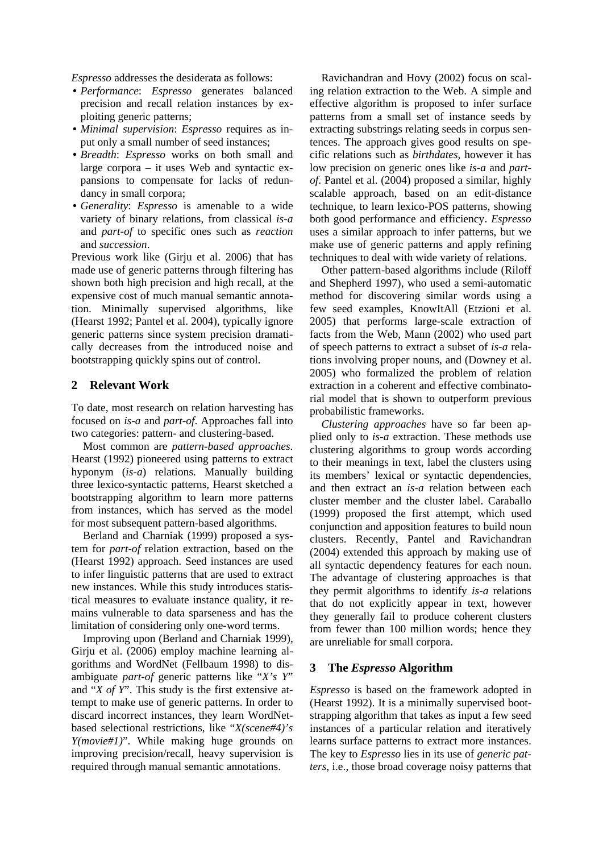*Espresso* addresses the desiderata as follows:

- *Performance*: *Espresso* generates balanced precision and recall relation instances by exploiting generic patterns;
- *Minimal supervision*: *Espresso* requires as input only a small number of seed instances;
- *Breadth*: *Espresso* works on both small and large corpora – it uses Web and syntactic expansions to compensate for lacks of redundancy in small corpora;
- *Generality*: *Espresso* is amenable to a wide variety of binary relations, from classical *is-a* and *part-of* to specific ones such as *reaction*  and *succession*.

Previous work like (Girju et al. 2006) that has made use of generic patterns through filtering has shown both high precision and high recall, at the expensive cost of much manual semantic annotation. Minimally supervised algorithms, like (Hearst 1992; Pantel et al. 2004), typically ignore generic patterns since system precision dramatically decreases from the introduced noise and bootstrapping quickly spins out of control.

### **2 Relevant Work**

To date, most research on relation harvesting has focused on *is-a* and *part-of*. Approaches fall into two categories: pattern- and clustering-based.

Most common are *pattern-based approaches*. Hearst (1992) pioneered using patterns to extract hyponym (*is-a*) relations. Manually building three lexico-syntactic patterns, Hearst sketched a bootstrapping algorithm to learn more patterns from instances, which has served as the model for most subsequent pattern-based algorithms.

Berland and Charniak (1999) proposed a system for *part-of* relation extraction, based on the (Hearst 1992) approach. Seed instances are used to infer linguistic patterns that are used to extract new instances. While this study introduces statistical measures to evaluate instance quality, it remains vulnerable to data sparseness and has the limitation of considering only one-word terms.

Improving upon (Berland and Charniak 1999), Girju et al. (2006) employ machine learning algorithms and WordNet (Fellbaum 1998) to disambiguate *part-of* generic patterns like "*X's Y*" and "*X of Y*". This study is the first extensive attempt to make use of generic patterns. In order to discard incorrect instances, they learn WordNetbased selectional restrictions, like "*X(scene#4)'s Y(movie#1)*". While making huge grounds on improving precision/recall, heavy supervision is required through manual semantic annotations.

Ravichandran and Hovy (2002) focus on scaling relation extraction to the Web. A simple and effective algorithm is proposed to infer surface patterns from a small set of instance seeds by extracting substrings relating seeds in corpus sentences. The approach gives good results on specific relations such as *birthdates*, however it has low precision on generic ones like *is-a* and *partof*. Pantel et al. (2004) proposed a similar, highly scalable approach, based on an edit-distance technique, to learn lexico-POS patterns, showing both good performance and efficiency. *Espresso* uses a similar approach to infer patterns, but we make use of generic patterns and apply refining techniques to deal with wide variety of relations.

Other pattern-based algorithms include (Riloff and Shepherd 1997), who used a semi-automatic method for discovering similar words using a few seed examples, KnowItAll (Etzioni et al. 2005) that performs large-scale extraction of facts from the Web, Mann (2002) who used part of speech patterns to extract a subset of *is-a* relations involving proper nouns, and (Downey et al. 2005) who formalized the problem of relation extraction in a coherent and effective combinatorial model that is shown to outperform previous probabilistic frameworks.

*Clustering approaches* have so far been applied only to *is-a* extraction. These methods use clustering algorithms to group words according to their meanings in text, label the clusters using its members' lexical or syntactic dependencies, and then extract an *is-a* relation between each cluster member and the cluster label. Caraballo (1999) proposed the first attempt, which used conjunction and apposition features to build noun clusters. Recently, Pantel and Ravichandran (2004) extended this approach by making use of all syntactic dependency features for each noun. The advantage of clustering approaches is that they permit algorithms to identify *is-a* relations that do not explicitly appear in text, however they generally fail to produce coherent clusters from fewer than 100 million words; hence they are unreliable for small corpora.

### **3 The** *Espresso* **Algorithm**

*Espresso* is based on the framework adopted in (Hearst 1992). It is a minimally supervised bootstrapping algorithm that takes as input a few seed instances of a particular relation and iteratively learns surface patterns to extract more instances. The key to *Espresso* lies in its use of *generic patters*, i.e., those broad coverage noisy patterns that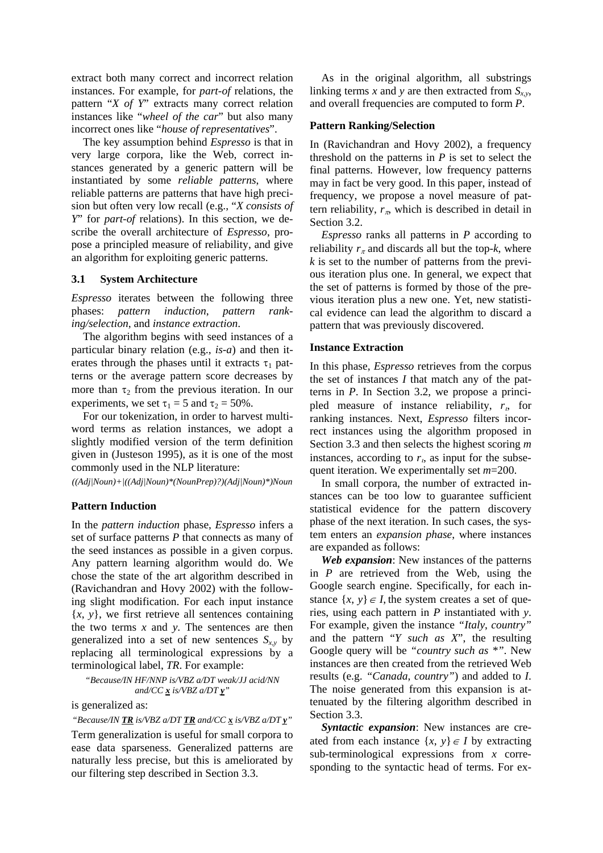extract both many correct and incorrect relation instances. For example, for *part-of* relations, the pattern "*X of Y*" extracts many correct relation instances like "*wheel of the car*" but also many incorrect ones like "*house of representatives*".

The key assumption behind *Espresso* is that in very large corpora, like the Web, correct instances generated by a generic pattern will be instantiated by some *reliable patterns*, where reliable patterns are patterns that have high precision but often very low recall (e.g., "*X consists of Y*" for *part-of* relations). In this section, we describe the overall architecture of *Espresso*, propose a principled measure of reliability, and give an algorithm for exploiting generic patterns.

#### **3.1 System Architecture**

*Espresso* iterates between the following three phases: *pattern induction*, *pattern ranking/selection*, and *instance extraction*.

The algorithm begins with seed instances of a particular binary relation (e.g., *is-a*) and then iterates through the phases until it extracts  $\tau_1$  patterns or the average pattern score decreases by more than  $\tau_2$  from the previous iteration. In our experiments, we set  $\tau_1 = 5$  and  $\tau_2 = 50\%$ .

For our tokenization, in order to harvest multiword terms as relation instances, we adopt a slightly modified version of the term definition given in (Justeson 1995), as it is one of the most commonly used in the NLP literature:

 *((Adj|Noun)+|((Adj|Noun)\*(NounPrep)?)(Adj|Noun)\*)Noun* 

### **Pattern Induction**

In the *pattern induction* phase, *Espresso* infers a set of surface patterns *P* that connects as many of the seed instances as possible in a given corpus. Any pattern learning algorithm would do. We chose the state of the art algorithm described in (Ravichandran and Hovy 2002) with the following slight modification. For each input instance {*x*, *y*}, we first retrieve all sentences containing the two terms *x* and *y*. The sentences are then generalized into a set of new sentences  $S_{x,y}$  by replacing all terminological expressions by a terminological label, *TR*. For example:

 *"Because/IN HF/NNP is/VBZ a/DT weak/JJ acid/NN and/CC x is/VBZ a/DT y"* 

is generalized as:

 *"Because/IN TR is/VBZ a/DT TR and/CC x is/VBZ a/DT y"* 

Term generalization is useful for small corpora to ease data sparseness. Generalized patterns are naturally less precise, but this is ameliorated by our filtering step described in Section 3.3.

As in the original algorithm, all substrings linking terms *x* and *y* are then extracted from  $S_{x,y}$ , and overall frequencies are computed to form *P*.

#### **Pattern Ranking/Selection**

In (Ravichandran and Hovy 2002), a frequency threshold on the patterns in  $P$  is set to select the final patterns. However, low frequency patterns may in fact be very good. In this paper, instead of frequency, we propose a novel measure of pattern reliability,  $r_{\pi}$ , which is described in detail in Section 3.2.

*Espresso* ranks all patterns in *P* according to reliability  $r_{\pi}$  and discards all but the top- $k$ , where *k* is set to the number of patterns from the previous iteration plus one. In general, we expect that the set of patterns is formed by those of the previous iteration plus a new one. Yet, new statistical evidence can lead the algorithm to discard a pattern that was previously discovered.

#### **Instance Extraction**

In this phase, *Espresso* retrieves from the corpus the set of instances *I* that match any of the patterns in *P*. In Section 3.2, we propose a principled measure of instance reliability, *r*ι, for ranking instances. Next, *Espresso* filters incorrect instances using the algorithm proposed in Section 3.3 and then selects the highest scoring *m*  instances, according to  $r<sub>i</sub>$ , as input for the subsequent iteration. We experimentally set *m*=200.

In small corpora, the number of extracted instances can be too low to guarantee sufficient statistical evidence for the pattern discovery phase of the next iteration. In such cases, the system enters an *expansion phase*, where instances are expanded as follows:

*Web expansion*: New instances of the patterns in *P* are retrieved from the Web, using the Google search engine. Specifically, for each instance  $\{x, y\} \in I$ , the system creates a set of queries, using each pattern in *P* instantiated with *y*. For example, given the instance *"Italy*, *country"* and the pattern "*Y such as X*", the resulting Google query will be *"country such as \*"*. New instances are then created from the retrieved Web results (e.g. *"Canada*, *country"*) and added to *I*. The noise generated from this expansion is attenuated by the filtering algorithm described in Section 3.3.

*Syntactic expansion*: New instances are created from each instance  $\{x, y\} \in I$  by extracting sub-terminological expressions from *x* corresponding to the syntactic head of terms. For ex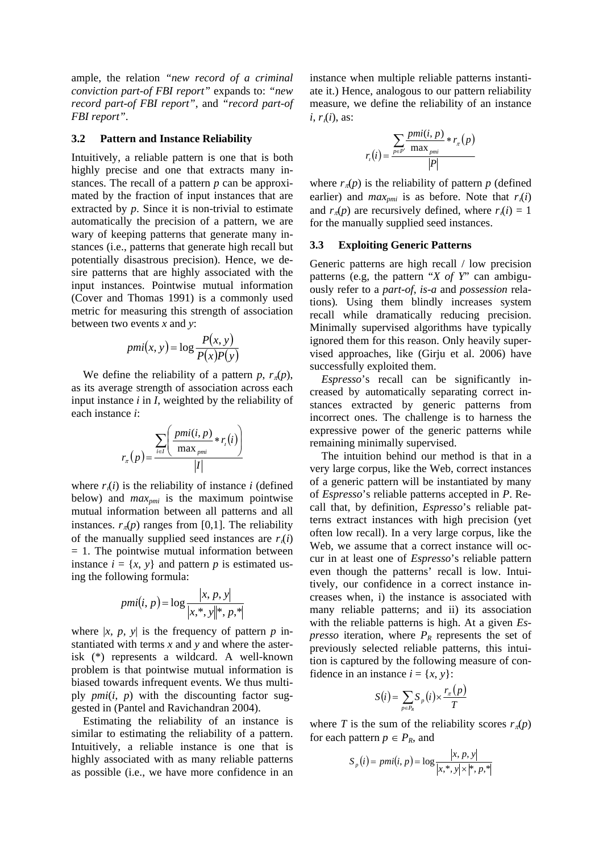ample, the relation *"new record of a criminal conviction part-of FBI report"* expands to: *"new record part-of FBI report"*, and *"record part-of FBI report"*.

#### **3.2 Pattern and Instance Reliability**

Intuitively, a reliable pattern is one that is both highly precise and one that extracts many instances. The recall of a pattern *p* can be approximated by the fraction of input instances that are extracted by *p*. Since it is non-trivial to estimate automatically the precision of a pattern, we are wary of keeping patterns that generate many instances (i.e., patterns that generate high recall but potentially disastrous precision). Hence, we desire patterns that are highly associated with the input instances. Pointwise mutual information (Cover and Thomas 1991) is a commonly used metric for measuring this strength of association between two events *x* and *y*:

$$
pmi(x, y) = \log \frac{P(x, y)}{P(x)P(y)}
$$

We define the reliability of a pattern *p*,  $r_{\pi}(p)$ , as its average strength of association across each input instance *i* in *I*, weighted by the reliability of each instance *i*:

$$
r_{\pi}(p) = \frac{\sum_{i \in I} \left( \frac{pmi(i, p)}{\max_{pmi} * r_i(i)} \right)}{|I|}
$$

where  $r_i(i)$  is the reliability of instance *i* (defined below) and *maxpmi* is the maximum pointwise mutual information between all patterns and all instances.  $r_{\pi}(p)$  ranges from [0,1]. The reliability of the manually supplied seed instances are  $r_i(i)$  $= 1$ . The pointwise mutual information between instance  $i = \{x, y\}$  and pattern *p* is estimated using the following formula:

$$
pmi(i, p) = \log \frac{|x, p, y|}{|x, \cdot, y\|^*, p, \cdot\}
$$

where  $|x, p, y|$  is the frequency of pattern *p* instantiated with terms *x* and *y* and where the asterisk (\*) represents a wildcard. A well-known problem is that pointwise mutual information is biased towards infrequent events. We thus multiply  $pmi(i, p)$  with the discounting factor suggested in (Pantel and Ravichandran 2004).

Estimating the reliability of an instance is similar to estimating the reliability of a pattern. Intuitively, a reliable instance is one that is highly associated with as many reliable patterns as possible (i.e., we have more confidence in an

instance when multiple reliable patterns instantiate it.) Hence, analogous to our pattern reliability measure, we define the reliability of an instance *i*, *r*ι(*i*), as:

$$
r_{i}(i) = \frac{\sum_{p \in P'} \frac{pmi(i, p)}{\max_{pmi} * r_{\pi}(p)}}{|P|}
$$

where  $r_{\pi}(p)$  is the reliability of pattern *p* (defined earlier) and  $max_{pmi}$  is as before. Note that  $r_i(i)$ and  $r_\pi(p)$  are recursively defined, where  $r_i(i) = 1$ for the manually supplied seed instances.

### **3.3 Exploiting Generic Patterns**

Generic patterns are high recall / low precision patterns (e.g, the pattern "*X of Y*" can ambiguously refer to a *part-of*, *is-a* and *possession* relations)*.* Using them blindly increases system recall while dramatically reducing precision. Minimally supervised algorithms have typically ignored them for this reason. Only heavily supervised approaches, like (Girju et al. 2006) have successfully exploited them.

*Espresso*'s recall can be significantly increased by automatically separating correct instances extracted by generic patterns from incorrect ones. The challenge is to harness the expressive power of the generic patterns while remaining minimally supervised.

The intuition behind our method is that in a very large corpus, like the Web, correct instances of a generic pattern will be instantiated by many of *Espresso*'s reliable patterns accepted in *P*. Recall that, by definition, *Espresso*'s reliable patterns extract instances with high precision (yet often low recall). In a very large corpus, like the Web, we assume that a correct instance will occur in at least one of *Espresso*'s reliable pattern even though the patterns' recall is low. Intuitively, our confidence in a correct instance increases when, i) the instance is associated with many reliable patterns; and ii) its association with the reliable patterns is high. At a given *Espresso* iteration, where  $P_R$  represents the set of previously selected reliable patterns, this intuition is captured by the following measure of confidence in an instance  $i = \{x, y\}$ :

$$
S(i) = \sum_{p \in P_R} S_p(i) \times \frac{r_{\pi}(p)}{T}
$$

where *T* is the sum of the reliability scores  $r_\pi(p)$ for each pattern  $p \in P_R$ , and

$$
S_p(i) = pmi(i, p) = \log \frac{|x, p, y|}{|x, y| \times |x, p, z|}
$$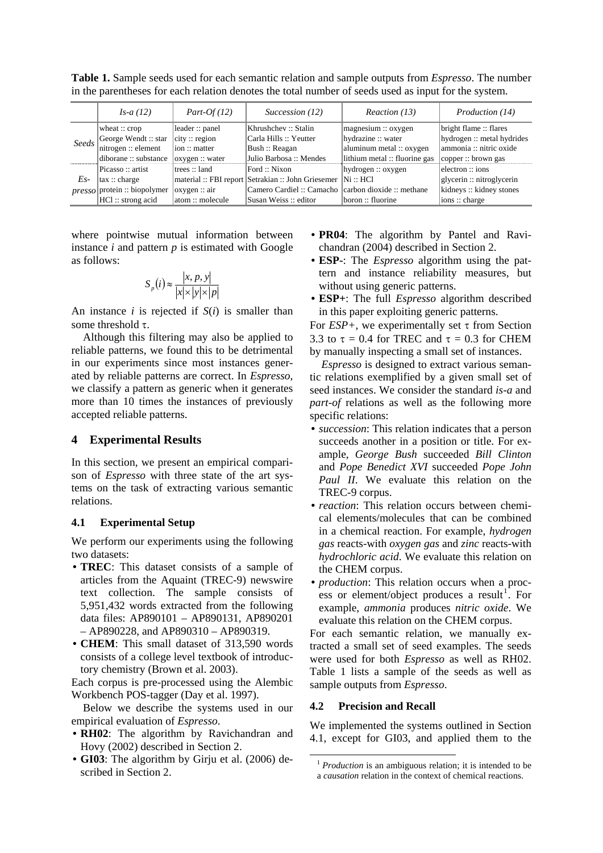**Table 1.** Sample seeds used for each semantic relation and sample outputs from *Espresso*. The number in the parentheses for each relation denotes the total number of seeds used as input for the system.

|       | <i>Is-a</i> $(12)$                  | $Part-Of(12)$                  | Succession (12)                                                | Reaction (13)                            | <i>Production</i> (14)     |
|-------|-------------------------------------|--------------------------------|----------------------------------------------------------------|------------------------------------------|----------------------------|
|       | wheat $::$ crop                     | leader :: panel                | Khrushchev :: Stalin                                           | $\lceil$ magnesium :: oxygen             | bright flame: flares       |
| Seeds | George Wendt :: star                | $\text{city} :: \text{region}$ | Carla Hills :: Yeutter                                         | hydrazine :: water                       | hydrogen :: metal hydrides |
|       | nitrogen :: element                 | $\lim$ : matter                | Bush: Reagan                                                   | aluminum metal :: oxygen                 | lammonia :: nitric oxide   |
|       | diborane :: substance               | $\alpha$ ygen :: water         | Julio Barbosa :: Mendes                                        | lithium metal :: fluorine gas            | copper::brown gas          |
|       | Picasso: artist                     | Itrees :: land                 | Ford :: Nixon                                                  | $\vert \text{hydrogen} :: \text{oxygen}$ | lelectron :: ions          |
| Es-   | $\vert \text{tax} :: \text{charge}$ |                                | material :: FBI report Setrakian :: John Griesemer   Ni :: HCl |                                          | glycerin: nitroglycerin    |
|       | $presco$ protein :: biopolymer      | $\alpha$ ygen :: air           | Camero Cardiel :: Camacho   carbon dioxide :: methane          |                                          | kidneys: kidney stones     |
|       | HCl: strong acid                    | latom: molecule                | Susan Weiss: editor                                            | boron :: fluorine                        | $\lambda$ ions :: charge   |

where pointwise mutual information between instance *i* and pattern *p* is estimated with Google as follows:

$$
S_p(i) \approx \frac{|x, p, y|}{|x| \times |y| \times |p|}
$$

An instance *i* is rejected if *S*(*i*) is smaller than some threshold  $\tau$ .

Although this filtering may also be applied to reliable patterns, we found this to be detrimental in our experiments since most instances generated by reliable patterns are correct. In *Espresso*, we classify a pattern as generic when it generates more than 10 times the instances of previously accepted reliable patterns.

### **4 Experimental Results**

In this section, we present an empirical comparison of *Espresso* with three state of the art systems on the task of extracting various semantic relations.

### **4.1 Experimental Setup**

We perform our experiments using the following two datasets:

- **TREC**: This dataset consists of a sample of articles from the Aquaint (TREC-9) newswire text collection. The sample consists of 5,951,432 words extracted from the following data files: AP890101 – AP890131, AP890201 – AP890228, and AP890310 – AP890319.
- **CHEM**: This small dataset of 313,590 words consists of a college level textbook of introductory chemistry (Brown et al. 2003).

Each corpus is pre-processed using the Alembic Workbench POS-tagger (Day et al. 1997).

Below we describe the systems used in our empirical evaluation of *Espresso*.

- **RH02**: The algorithm by Ravichandran and Hovy (2002) described in Section 2.
- **GI03**: The algorithm by Girju et al. (2006) described in Section 2.
- **PR04**: The algorithm by Pantel and Ravichandran (2004) described in Section 2.
- **ESP-**: The *Espresso* algorithm using the pattern and instance reliability measures, but without using generic patterns.
- **ESP+**: The full *Espresso* algorithm described in this paper exploiting generic patterns.

For  $ESP+$ , we experimentally set  $\tau$  from Section 3.3 to  $\tau = 0.4$  for TREC and  $\tau = 0.3$  for CHEM by manually inspecting a small set of instances.

*Espresso* is designed to extract various semantic relations exemplified by a given small set of seed instances. We consider the standard *is-a* and *part-of* relations as well as the following more specific relations:

- *succession*: This relation indicates that a person succeeds another in a position or title. For example, *George Bush* succeeded *Bill Clinton* and *Pope Benedict XVI* succeeded *Pope John Paul II*. We evaluate this relation on the TREC-9 corpus.
- *reaction*: This relation occurs between chemical elements/molecules that can be combined in a chemical reaction. For example, *hydrogen gas* reacts-with *oxygen gas* and *zinc* reacts-with *hydrochloric acid*. We evaluate this relation on the CHEM corpus.
- *production*: This relation occurs when a proc- $\text{ess}$  or element/object produces a result<sup>1</sup>. For example, *ammonia* produces *nitric oxide*. We evaluate this relation on the CHEM corpus.

For each semantic relation, we manually extracted a small set of seed examples. The seeds were used for both *Espresso* as well as RH02. Table 1 lists a sample of the seeds as well as sample outputs from *Espresso*.

### **4.2 Precision and Recall**

We implemented the systems outlined in Section 4.1, except for GI03, and applied them to the

<sup>&</sup>lt;sup>1</sup> *Production* is an ambiguous relation; it is intended to be a *causation* relation in the context of chemical reactions.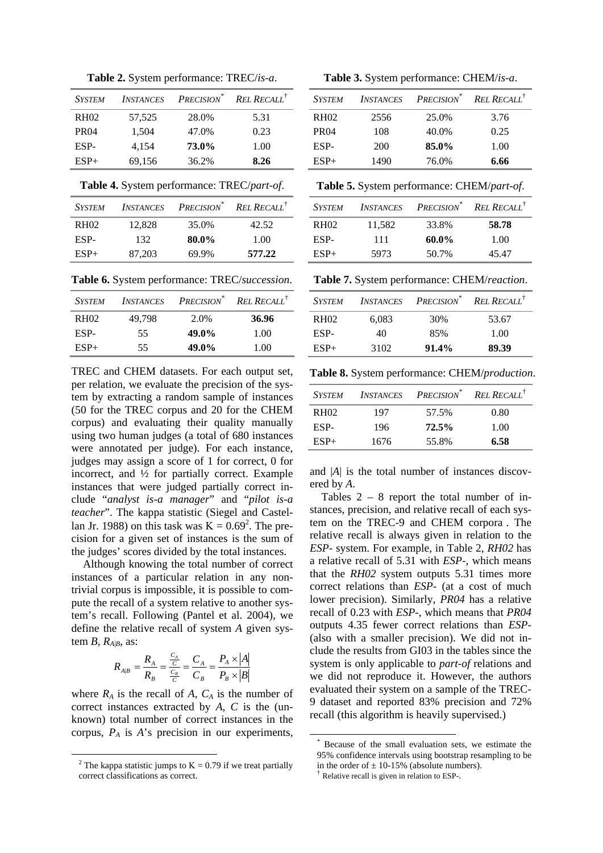**Table 2.** System performance: TREC/*is-a*.

| <b>SYSTEM</b> | <b>INSTANCES</b> | PRECISION <sup>*</sup> | <b>REL RECALL<sup>†</sup></b> |
|---------------|------------------|------------------------|-------------------------------|
| <b>RH02</b>   | 57,525           | 28.0%                  | 5.31                          |
| <b>PR04</b>   | 1,504            | 47.0%                  | 0.23                          |
| ESP-          | 4,154            | 73.0%                  | 1.00                          |
| $ESP+$        | 69,156           | 36.2%                  | 8.26                          |

**Table 4.** System performance: TREC/*part-of*.

| <b>SYSTEM</b>    | <b>INSTANCES</b> |       | PRECISION <sup>*</sup> REL RECALL <sup>†</sup> |
|------------------|------------------|-------|------------------------------------------------|
| RH <sub>02</sub> | 12,828           | 35.0% | 42.52                                          |
| ESP-             | 132              | 80.0% | 1.00                                           |
| $ESP+$           | 87.203           | 69.9% | 577.22                                         |

**Table 6.** System performance: TREC/*succession*.

| <b>SYSTEM</b>    | <b>INSTANCES</b> | PRECISION <sup>®</sup> | <b>REL RECALL</b> |
|------------------|------------------|------------------------|-------------------|
| RH <sub>02</sub> | 49.798           | 2.0%                   | 36.96             |
| ESP-             | 55               | 49.0%                  | 1.00              |
| $ESP+$           | 55               | 49.0%                  | 1.00              |

TREC and CHEM datasets. For each output set, per relation, we evaluate the precision of the system by extracting a random sample of instances (50 for the TREC corpus and 20 for the CHEM corpus) and evaluating their quality manually using two human judges (a total of 680 instances were annotated per judge). For each instance, judges may assign a score of 1 for correct, 0 for incorrect, and  $\frac{1}{2}$  for partially correct. Example instances that were judged partially correct include "*analyst is-a manager*" and "*pilot is-a teacher*". The kappa statistic (Siegel and Castellan Jr. 1988) on this task was  $K = 0.69^2$ . The precision for a given set of instances is the sum of the judges' scores divided by the total instances.

Although knowing the total number of correct instances of a particular relation in any nontrivial corpus is impossible, it is possible to compute the recall of a system relative to another system's recall. Following (Pantel et al. 2004), we define the relative recall of system *A* given system  $B$ ,  $R_{A|B}$ , as:

$$
R_{A|B} = \frac{R_A}{R_B} = \frac{\frac{C_A}{C}}{\frac{C_B}{C}} = \frac{C_A}{C_B} = \frac{P_A \times |A|}{P_B \times |B|}
$$

where  $R_A$  is the recall of  $A$ ,  $C_A$  is the number of correct instances extracted by *A*, *C* is the (unknown) total number of correct instances in the corpus, *PA* is *A*'s precision in our experiments,

 $\overline{a}$ 

**Table 3.** System performance: CHEM/*is-a*.

| <b>SYSTEM</b>    | <b>INSTANCES</b> | PRECISION <sup>*</sup> | <b>REL RECALL<sup>†</sup></b> |
|------------------|------------------|------------------------|-------------------------------|
| <b>RH02</b>      | 2556             | 25.0%                  | 3.76                          |
| PR <sub>04</sub> | 108              | 40.0%                  | 0.25                          |
| ESP-             | 200              | 85.0%                  | 1.00                          |
| $ESP+$           | 1490             | 76.0%                  | 6.66                          |

**Table 5.** System performance: CHEM/*part-of*.

| <i>SYSTEM</i>    | <b>INSTANCES</b> | Precision <sup>*</sup> | <b>REL RECALL</b> |
|------------------|------------------|------------------------|-------------------|
| RH <sub>02</sub> | 11,582           | 33.8%                  | 58.78             |
| ESP-             | 111              | 60.0%                  | 1.00              |
| $ESP+$           | 5973             | 50.7%                  | 45.47             |

**Table 7.** System performance: CHEM/*reaction*.

| <b>SYSTEM</b> | <b>INSTANCES</b> | Precision <sup>*</sup> | <b>REL RECALL</b> |
|---------------|------------------|------------------------|-------------------|
| <b>RH02</b>   | 6,083            | 30%                    | 53.67             |
| ESP-          | 40               | 85%                    | 1.00              |
| $ESP+$        | 3102             | $91.4\%$               | 89.39             |

**Table 8.** System performance: CHEM/*production*.

| <b>SYSTEM</b> |      | <b>INSTANCES PRECISION</b> <sup>*</sup> <b>REL RECALL</b> <sup>†</sup> |      |
|---------------|------|------------------------------------------------------------------------|------|
| <b>RH02</b>   | 197  | 57.5%                                                                  | 0.80 |
| ESP-          | 196  | $72.5\%$                                                               | 1.00 |
| $ESP+$        | 1676 | 55.8%                                                                  | 6.58 |

and |*A*| is the total number of instances discovered by *A*.

Tables 2 – 8 report the total number of instances, precision, and relative recall of each system on the TREC-9 and CHEM corpora. The relative recall is always given in relation to the *ESP-* system. For example, in Table 2, *RH02* has a relative recall of 5.31 with *ESP-*, which means that the *RH02* system outputs 5.31 times more correct relations than *ESP-* (at a cost of much lower precision). Similarly, *PR04* has a relative recall of 0.23 with *ESP-*, which means that *PR04* outputs 4.35 fewer correct relations than *ESP-* (also with a smaller precision). We did not include the results from GI03 in the tables since the system is only applicable to *part-of* relations and we did not reproduce it. However, the authors evaluated their system on a sample of the TREC-9 dataset and reported 83% precision and 72% recall (this algorithm is heavily supervised.)

<sup>&</sup>lt;sup>2</sup> The kappa statistic jumps to  $K = 0.79$  if we treat partially correct classifications as correct.

 <sup>\*</sup> Because of the small evaluation sets, we estimate the 95% confidence intervals using bootstrap resampling to be in the order of  $\pm$  10-15% (absolute numbers).

<sup>†</sup> Relative recall is given in relation to ESP-.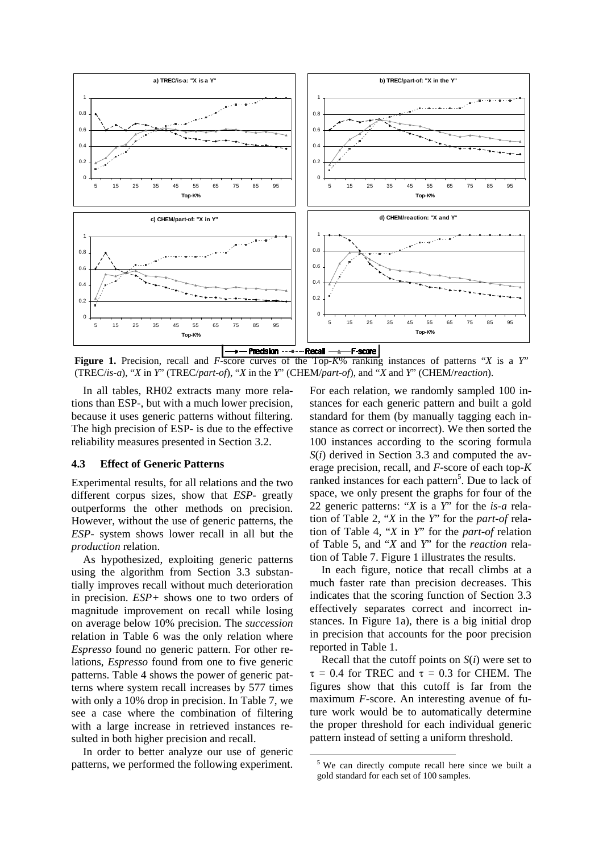

(TREC/*is-a*), "*X* in *Y*" (TREC/*part-of*), "*X* in the *Y*" (CHEM/*part-of*), and "*X* and *Y*" (CHEM/*reaction*).

In all tables, RH02 extracts many more relations than ESP-, but with a much lower precision, because it uses generic patterns without filtering. The high precision of ESP- is due to the effective reliability measures presented in Section 3.2.

### **4.3 Effect of Generic Patterns**

Experimental results, for all relations and the two different corpus sizes, show that *ESP-* greatly outperforms the other methods on precision. However, without the use of generic patterns, the *ESP-* system shows lower recall in all but the *production* relation.

As hypothesized, exploiting generic patterns using the algorithm from Section 3.3 substantially improves recall without much deterioration in precision. *ESP+* shows one to two orders of magnitude improvement on recall while losing on average below 10% precision. The *succession* relation in Table 6 was the only relation where *Espresso* found no generic pattern. For other relations, *Espresso* found from one to five generic patterns. Table 4 shows the power of generic patterns where system recall increases by 577 times with only a 10% drop in precision. In Table 7, we see a case where the combination of filtering with a large increase in retrieved instances resulted in both higher precision and recall.

In order to better analyze our use of generic patterns, we performed the following experiment. For each relation, we randomly sampled 100 instances for each generic pattern and built a gold standard for them (by manually tagging each instance as correct or incorrect). We then sorted the 100 instances according to the scoring formula *S*(*i*) derived in Section 3.3 and computed the average precision, recall, and *F*-score of each top-*K* ranked instances for each pattern<sup>5</sup>. Due to lack of space, we only present the graphs for four of the 22 generic patterns: "*X* is a *Y*" for the *is-a* relation of Table 2, "*X* in the *Y*" for the *part-of* relation of Table 4, "*X* in *Y*" for the *part-of* relation of Table 5, and "*X* and *Y*" for the *reaction* relation of Table 7. Figure 1 illustrates the results.

In each figure, notice that recall climbs at a much faster rate than precision decreases. This indicates that the scoring function of Section 3.3 effectively separates correct and incorrect instances. In Figure 1a), there is a big initial drop in precision that accounts for the poor precision reported in Table 1.

Recall that the cutoff points on *S*(*i*) were set to  $\tau = 0.4$  for TREC and  $\tau = 0.3$  for CHEM. The figures show that this cutoff is far from the maximum *F*-score. An interesting avenue of future work would be to automatically determine the proper threshold for each individual generic pattern instead of setting a uniform threshold.

<sup>&</sup>lt;sup>5</sup> We can directly compute recall here since we built a gold standard for each set of 100 samples.